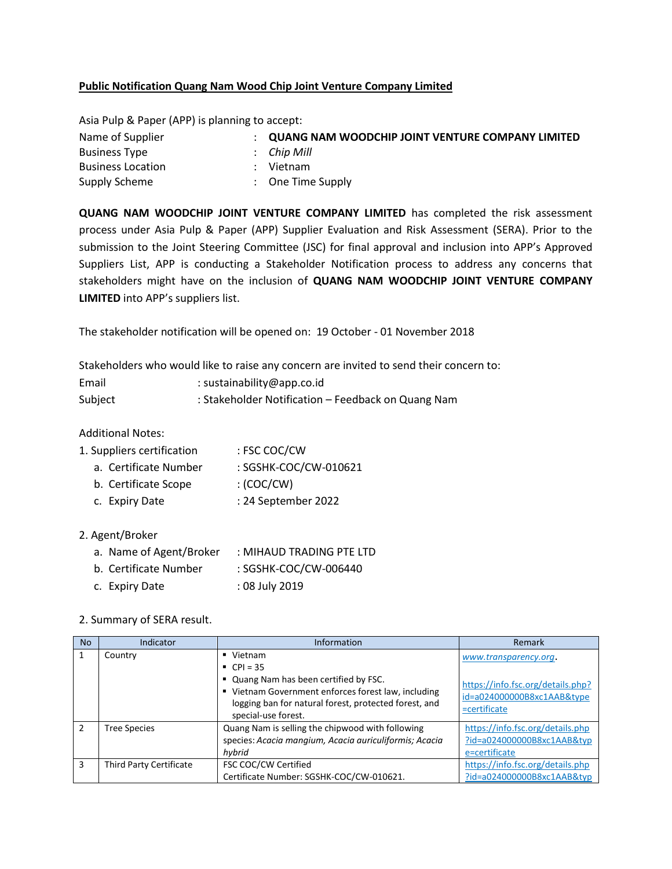## **Public Notification Quang Nam Wood Chip Joint Venture Company Limited**

Asia Pulp & Paper (APP) is planning to accept:

| Name of Supplier         | <b>QUANG NAM WOODCHIP JOINT VENTURE COMPANY LIMITED</b> |
|--------------------------|---------------------------------------------------------|
| <b>Business Type</b>     | $\therefore$ Chip Mill                                  |
| <b>Business Location</b> | Vietnam                                                 |
| Supply Scheme            | : One Time Supply                                       |

**QUANG NAM WOODCHIP JOINT VENTURE COMPANY LIMITED** has completed the risk assessment process under Asia Pulp & Paper (APP) Supplier Evaluation and Risk Assessment (SERA). Prior to the submission to the Joint Steering Committee (JSC) for final approval and inclusion into APP's Approved Suppliers List, APP is conducting a Stakeholder Notification process to address any concerns that stakeholders might have on the inclusion of **QUANG NAM WOODCHIP JOINT VENTURE COMPANY LIMITED** into APP's suppliers list.

The stakeholder notification will be opened on: 19 October - 01 November 2018

Stakeholders who would like to raise any concern are invited to send their concern to:

| Email   | : sustainability@app.co.id                         |
|---------|----------------------------------------------------|
| Subject | : Stakeholder Notification - Feedback on Quang Nam |

Additional Notes:

| 1. Suppliers certification | : FSC COC/CW |
|----------------------------|--------------|
|----------------------------|--------------|

- a. Certificate Number : SGSHK-COC/CW-010621
- b. Certificate Scope : (COC/CW)
- c. Expiry Date : 24 September 2022

## 2. Agent/Broker

- a. Name of Agent/Broker : MIHAUD TRADING PTE LTD
- b. Certificate Number : SGSHK-COC/CW-006440
- c. Expiry Date : 08 July 2019

## 2. Summary of SERA result.

| <b>No</b>     | Indicator               | <b>Information</b>                                                                                                                                                                                                      | Remark                                                                                                   |
|---------------|-------------------------|-------------------------------------------------------------------------------------------------------------------------------------------------------------------------------------------------------------------------|----------------------------------------------------------------------------------------------------------|
|               | Country                 | $\blacksquare$ Vietnam<br>• $CPI = 35$<br>" Quang Nam has been certified by FSC.<br>" Vietnam Government enforces forest law, including<br>logging ban for natural forest, protected forest, and<br>special-use forest. | www.transparency.org.<br>https://info.fsc.org/details.php?<br>id=a024000000B8xc1AAB&type<br>=certificate |
| $\mathcal{P}$ | Tree Species            | Quang Nam is selling the chipwood with following<br>species: Acacia mangium, Acacia auriculiformis; Acacia<br>hybrid                                                                                                    | https://info.fsc.org/details.php<br>?id=a024000000B8xc1AAB&typ<br>e=certificate                          |
| 3             | Third Party Certificate | FSC COC/CW Certified<br>Certificate Number: SGSHK-COC/CW-010621.                                                                                                                                                        | https://info.fsc.org/details.php<br>?id=a024000000B8xc1AAB&typ                                           |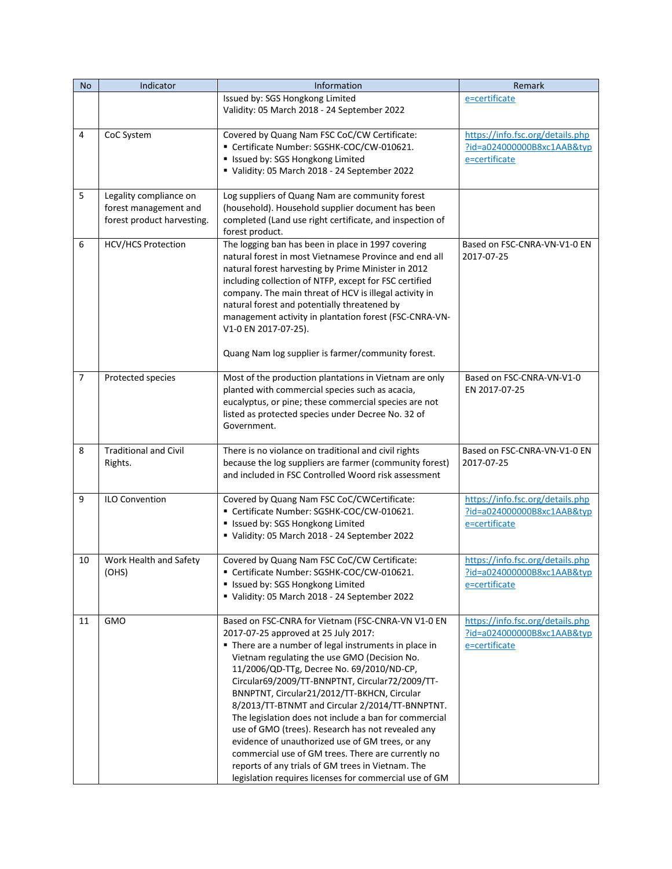| <b>No</b>      | Indicator                                                                     | Information                                                                                                                                                                                                                                                                                                                                                                                                                                                                                                                                                                                                                                                                                                                                  | Remark                                                                          |
|----------------|-------------------------------------------------------------------------------|----------------------------------------------------------------------------------------------------------------------------------------------------------------------------------------------------------------------------------------------------------------------------------------------------------------------------------------------------------------------------------------------------------------------------------------------------------------------------------------------------------------------------------------------------------------------------------------------------------------------------------------------------------------------------------------------------------------------------------------------|---------------------------------------------------------------------------------|
|                |                                                                               | Issued by: SGS Hongkong Limited<br>Validity: 05 March 2018 - 24 September 2022                                                                                                                                                                                                                                                                                                                                                                                                                                                                                                                                                                                                                                                               | e=certificate                                                                   |
| 4              | CoC System                                                                    | Covered by Quang Nam FSC CoC/CW Certificate:<br>" Certificate Number: SGSHK-COC/CW-010621.<br>" Issued by: SGS Hongkong Limited<br>Validity: 05 March 2018 - 24 September 2022                                                                                                                                                                                                                                                                                                                                                                                                                                                                                                                                                               | https://info.fsc.org/details.php<br>?id=a024000000B8xc1AAB&typ<br>e=certificate |
| 5              | Legality compliance on<br>forest management and<br>forest product harvesting. | Log suppliers of Quang Nam are community forest<br>(household). Household supplier document has been<br>completed (Land use right certificate, and inspection of<br>forest product.                                                                                                                                                                                                                                                                                                                                                                                                                                                                                                                                                          |                                                                                 |
| 6              | HCV/HCS Protection                                                            | The logging ban has been in place in 1997 covering<br>natural forest in most Vietnamese Province and end all<br>natural forest harvesting by Prime Minister in 2012<br>including collection of NTFP, except for FSC certified<br>company. The main threat of HCV is illegal activity in<br>natural forest and potentially threatened by<br>management activity in plantation forest (FSC-CNRA-VN-<br>V1-0 EN 2017-07-25).<br>Quang Nam log supplier is farmer/community forest.                                                                                                                                                                                                                                                              | Based on FSC-CNRA-VN-V1-0 EN<br>2017-07-25                                      |
| $\overline{7}$ | Protected species                                                             | Most of the production plantations in Vietnam are only<br>planted with commercial species such as acacia,<br>eucalyptus, or pine; these commercial species are not<br>listed as protected species under Decree No. 32 of<br>Government.                                                                                                                                                                                                                                                                                                                                                                                                                                                                                                      | Based on FSC-CNRA-VN-V1-0<br>EN 2017-07-25                                      |
| 8              | <b>Traditional and Civil</b><br>Rights.                                       | There is no violance on traditional and civil rights<br>because the log suppliers are farmer (community forest)<br>and included in FSC Controlled Woord risk assessment                                                                                                                                                                                                                                                                                                                                                                                                                                                                                                                                                                      | Based on FSC-CNRA-VN-V1-0 EN<br>2017-07-25                                      |
| 9              | <b>ILO Convention</b>                                                         | Covered by Quang Nam FSC CoC/CWCertificate:<br>" Certificate Number: SGSHK-COC/CW-010621.<br>" Issued by: SGS Hongkong Limited<br>Validity: 05 March 2018 - 24 September 2022                                                                                                                                                                                                                                                                                                                                                                                                                                                                                                                                                                | https://info.fsc.org/details.php<br>?id=a024000000B8xc1AAB&typ<br>e=certificate |
| 10             | Work Health and Safety<br>(OHS)                                               | Covered by Quang Nam FSC CoC/CW Certificate:<br>Certificate Number: SGSHK-COC/CW-010621.<br>" Issued by: SGS Hongkong Limited<br>Validity: 05 March 2018 - 24 September 2022                                                                                                                                                                                                                                                                                                                                                                                                                                                                                                                                                                 | https://info.fsc.org/details.php<br>?id=a024000000B8xc1AAB&typ<br>e=certificate |
| 11             | <b>GMO</b>                                                                    | Based on FSC-CNRA for Vietnam (FSC-CNRA-VN V1-0 EN<br>2017-07-25 approved at 25 July 2017:<br>" There are a number of legal instruments in place in<br>Vietnam regulating the use GMO (Decision No.<br>11/2006/QD-TTg, Decree No. 69/2010/ND-CP,<br>Circular69/2009/TT-BNNPTNT, Circular72/2009/TT-<br>BNNPTNT, Circular21/2012/TT-BKHCN, Circular<br>8/2013/TT-BTNMT and Circular 2/2014/TT-BNNPTNT.<br>The legislation does not include a ban for commercial<br>use of GMO (trees). Research has not revealed any<br>evidence of unauthorized use of GM trees, or any<br>commercial use of GM trees. There are currently no<br>reports of any trials of GM trees in Vietnam. The<br>legislation requires licenses for commercial use of GM | https://info.fsc.org/details.php<br>?id=a024000000B8xc1AAB&typ<br>e=certificate |